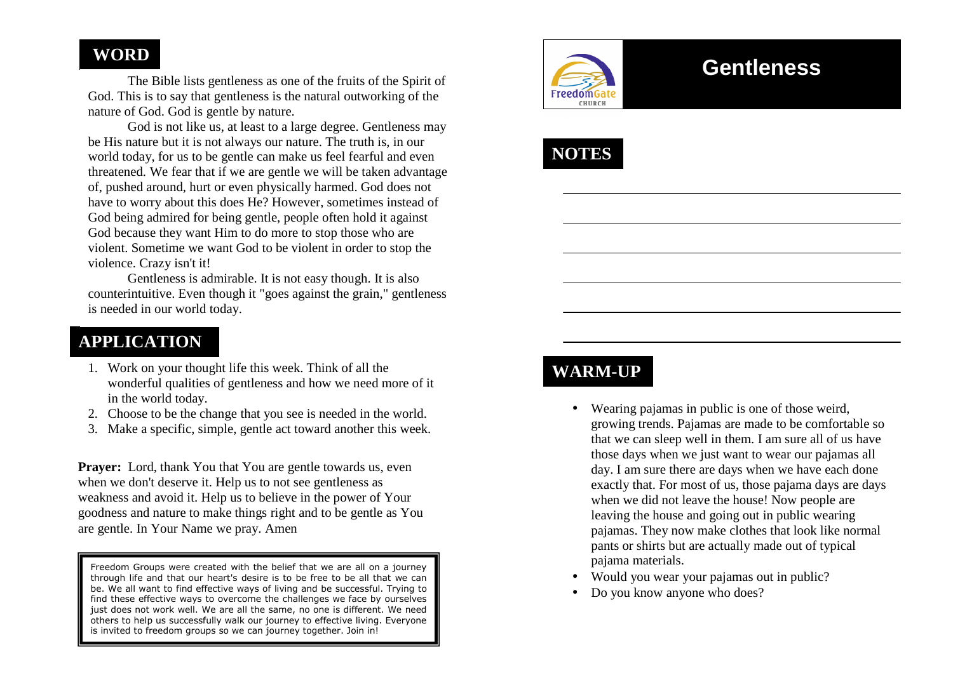## **WORD**

 The Bible lists gentleness as one of the fruits of the Spirit of God. This is to say that gentleness is the natural outworking of the nature of God. God is gentle by nature.

 God is not like us, at least to a large degree. Gentleness may be His nature but it is not always our nature. The truth is, in our world today, for us to be gentle can make us feel fearful and even threatened. We fear that if we are gentle we will be taken advantage of, pushed around, hurt or even physically harmed. God does not have to worry about this does He? However, sometimes instead of God being admired for being gentle, people often hold it against God because they want Him to do more to stop those who are violent. Sometime we want God to be violent in order to stop the violence. Crazy isn't it!

 Gentleness is admirable. It is not easy though. It is also counterintuitive. Even though it "goes against the grain," gentleness is needed in our world today.

## **APPLICATION**

- 1. Work on your thought life this week. Think of all the wonderful qualities of gentleness and how we need more of it in the world today.
- 2. Choose to be the change that you see is needed in the world.
- 3. Make a specific, simple, gentle act toward another this week.

**Prayer:** Lord, thank You that You are gentle towards us, even when we don't deserve it. Help us to not see gentleness as weakness and avoid it. Help us to believe in the power of Your goodness and nature to make things right and to be gentle as You are gentle. In Your Name we pray. Amen

Freedom Groups were created with the belief that we are all on a journey through life and that our heart's desire is to be free to be all that we can be. We all want to find effective ways of living and be successful. Trying to find these effective ways to overcome the challenges we face by ourselves just does not work well. We are all the same, no one is different. We need others to help us successfully walk our journey to effective living. Everyone is invited to freedom groups so we can journey together. Join in!



# **Gentleness**



## **WARM-UP**

- Wearing pajamas in public is one of those weird, growing trends. Pajamas are made to be comfortable so that we can sleep well in them. I am sure all of us have those days when we just want to wear our pajamas all day. I am sure there are days when we have each done exactly that. For most of us, those pajama days are days when we did not leave the house! Now people are leaving the house and going out in public wearing pajamas. They now make clothes that look like normal pants or shirts but are actually made out of typical pajama materials.
- Would you wear your pajamas out in public?
- •Do you know anyone who does?